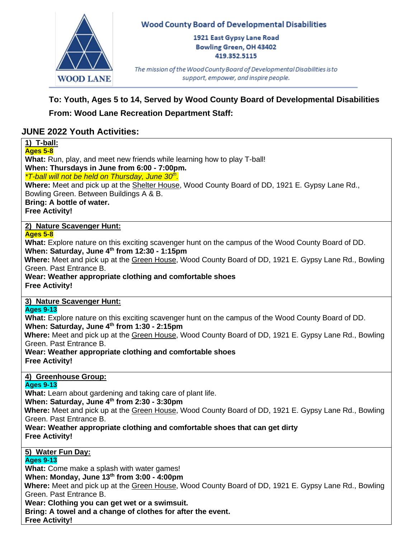

### **Wood County Board of Developmental Disabilities**

1921 East Gypsy Lane Road **Bowling Green, OH 43402** 419.352.5115

The mission of the Wood County Board of Developmental Disabilities is to support, empower, and inspire people.

# **To: Youth, Ages 5 to 14, Served by Wood County Board of Developmental Disabilities**

## **From: Wood Lane Recreation Department Staff:**

## **JUNE 2022 Youth Activities:**

# **1) T-ball:**

**Ages 5-8**

**What:** Run, play, and meet new friends while learning how to play T-ball!

**When: Thursdays in June from 6:00 - 7:00pm.** 

*\*T-ball will not be held on Thursday, June 30th .*

**Where:** Meet and pick up at the Shelter House, Wood County Board of DD, 1921 E. Gypsy Lane Rd., Bowling Green. Between Buildings A & B.

**Bring: A bottle of water.**

**Free Activity!**

**2) Nature Scavenger Hunt:**

### **Ages 5-8**

**What:** Explore nature on this exciting scavenger hunt on the campus of the Wood County Board of DD. **When: Saturday, June 4th from 12:30 - 1:15pm**

**Where:** Meet and pick up at the Green House, Wood County Board of DD, 1921 E. Gypsy Lane Rd., Bowling Green. Past Entrance B.

**Wear: Weather appropriate clothing and comfortable shoes Free Activity!**

## **3) Nature Scavenger Hunt:**

**Ages 9-13**

**What:** Explore nature on this exciting scavenger hunt on the campus of the Wood County Board of DD. **When: Saturday, June 4th from 1:30 - 2:15pm**

**Where:** Meet and pick up at the Green House, Wood County Board of DD, 1921 E. Gypsy Lane Rd., Bowling Green. Past Entrance B.

**Wear: Weather appropriate clothing and comfortable shoes Free Activity!**

### **4) Greenhouse Group:**

### **Ages 9-13**

**What:** Learn about gardening and taking care of plant life.

**When: Saturday, June 4th from 2:30 - 3:30pm**

**Where:** Meet and pick up at the Green House, Wood County Board of DD, 1921 E. Gypsy Lane Rd., Bowling Green. Past Entrance B.

**Wear: Weather appropriate clothing and comfortable shoes that can get dirty Free Activity!**

**5) Water Fun Day:**

### **Ages 9-13**

**What:** Come make a splash with water games!

**When: Monday, June 13th from 3:00 - 4:00pm**

**Where:** Meet and pick up at the Green House, Wood County Board of DD, 1921 E. Gypsy Lane Rd., Bowling Green. Past Entrance B.

**Wear: Clothing you can get wet or a swimsuit.** 

**Bring: A towel and a change of clothes for after the event.**

**Free Activity!**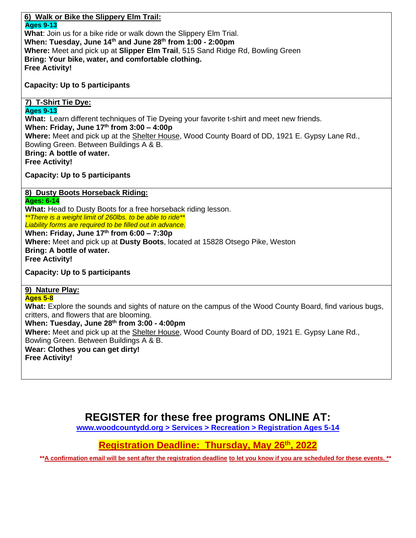## **6) Walk or Bike the Slippery Elm Trail: Ages 9-13 What**: Join us for a bike ride or walk down the Slippery Elm Trial. **When: Tuesday, June 14th and June 28th from 1:00 - 2:00pm Where:** Meet and pick up at **Slipper Elm Trail**, 515 Sand Ridge Rd, Bowling Green **Bring: Your bike, water, and comfortable clothing. Free Activity! Capacity: Up to 5 participants 7) T-Shirt Tie Dye: Ages 9-13 What:** Learn different techniques of Tie Dyeing your favorite t-shirt and meet new friends. **When: Friday, June 17th from 3:00 – 4:00p Where:** Meet and pick up at the Shelter House, Wood County Board of DD, 1921 E. Gypsy Lane Rd., Bowling Green. Between Buildings A & B. **Bring: A bottle of water. Free Activity! Capacity: Up to 5 participants 8) Dusty Boots Horseback Riding: Ages: 6-14 What:** Head to Dusty Boots for a free horseback riding lesson. *\*\*There is a weight limit of 260lbs. to be able to ride\*\* Liability forms are required to be filled out in advance.*  **When: Friday, June 17th from 6:00 – 7:30p Where:** Meet and pick up at **Dusty Boots**, located at 15828 Otsego Pike, Weston **Bring: A bottle of water. Free Activity! Capacity: Up to 5 participants 9) Nature Play: Ages 5-8 What:** Explore the sounds and sights of nature on the campus of the Wood County Board, find various bugs, critters, and flowers that are blooming. **When: Tuesday, June 28th from 3:00 - 4:00pm Where:** Meet and pick up at the Shelter House, Wood County Board of DD, 1921 E. Gypsy Lane Rd., Bowling Green. Between Buildings A & B. **Wear: Clothes you can get dirty! Free Activity!**

**REGISTER for these free programs ONLINE AT:**

**[www.woodcountydd.org > Services > Recreation > Registration Ages 5-14](https://www.woodcountydd.org/services/recreation/registration-ages-8-14/)**

**Registration Deadline: Thursday, May 26 th, 2022** 

**\*\*A confirmation email will be sent after the registration deadline to let you know if you are scheduled for these events. \*\***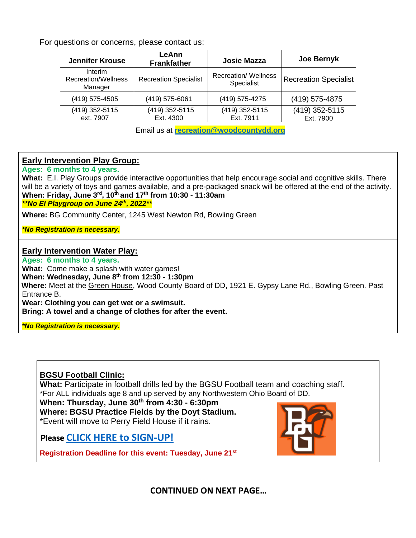For questions or concerns, please contact us:

| <b>Jennifer Krouse</b>                    | LeAnn<br><b>Frankfather</b>  | <b>Josie Mazza</b>                        | Joe Bernyk                   |  |
|-------------------------------------------|------------------------------|-------------------------------------------|------------------------------|--|
| Interim<br>Recreation/Wellness<br>Manager | <b>Recreation Specialist</b> | <b>Recreation/ Wellness</b><br>Specialist | <b>Recreation Specialist</b> |  |
| (419) 575-4505                            | (419) 575-6061               | (419) 575-4275                            | (419) 575-4875               |  |
| (419) 352-5115<br>ext. 7907               | (419) 352-5115<br>Ext. 4300  | (419) 352-5115<br>Ext. 7911               | (419) 352-5115<br>Ext. 7900  |  |

Email us at **[recreation@woodcountydd.org](mailto:recreation@woodcountydd.org)**

#### **Early Intervention Play Group:**

#### **Ages: 6 months to 4 years.**

**What:** E.I. Play Groups provide interactive opportunities that help encourage social and cognitive skills. There will be a variety of toys and games available, and a pre-packaged snack will be offered at the end of the activity. **When: Friday, June 3 rd , 10 th and 17 th from 10:30 - 11:30am** *\*\*No EI Playgroup on June 24th, 2022\*\**

**Where:** BG Community Center, 1245 West Newton Rd, Bowling Green

*\*No Registration is necessary.* 

#### **Early Intervention Water Play:**

**Ages: 6 months to 4 years.** 

**What:** Come make a splash with water games!

**When: Wednesday, June 8 th from 12:30 - 1:30pm**

**Where:** Meet at the Green House, Wood County Board of DD, 1921 E. Gypsy Lane Rd., Bowling Green. Past Entrance B.

**Wear: Clothing you can get wet or a swimsuit.** 

**Bring: A towel and a change of clothes for after the event.**

*\*No Registration is necessary.* 

### **BGSU Football Clinic:**

**What:** Participate in football drills led by the BGSU Football team and coaching staff. \*For ALL individuals age 8 and up served by any Northwestern Ohio Board of DD.

**When: Thursday, June 30th from 4:30 - 6:30pm Where: BGSU Practice Fields by the Doyt Stadium.** 

\*Event will move to Perry Field House if it rains.

Please **[CLICK HERE to SIGN-UP!](https://www.woodcountydd.org/wcbdd-bgsu-football-clinic-registration/)**

**Registration Deadline for this event: Tuesday, June 21st**



**CONTINUED ON NEXT PAGE…**